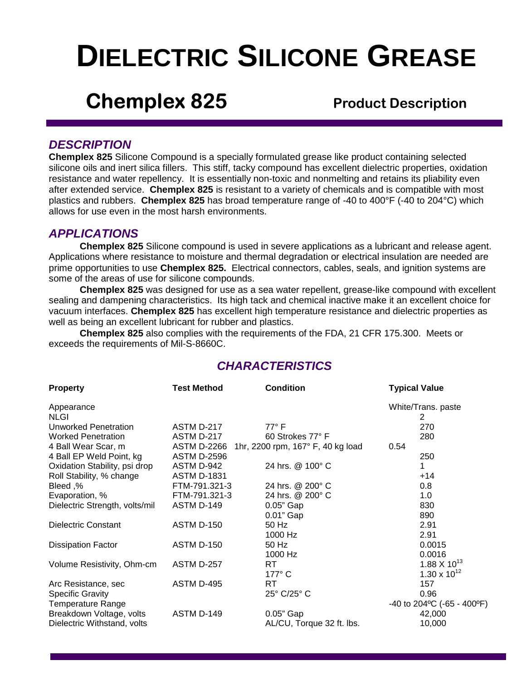# **DIELECTRIC SILICONE GREASE**

## **Chemplex 825** Product Description

## *DESCRIPTION*

**Chemplex 825** Silicone Compound is a specially formulated grease like product containing selected silicone oils and inert silica fillers. This stiff, tacky compound has excellent dielectric properties, oxidation resistance and water repellency. It is essentially non-toxic and nonmelting and retains its pliability even after extended service. **Chemplex 825** is resistant to a variety of chemicals and is compatible with most plastics and rubbers. **Chemplex 825** has broad temperature range of -40 to 400°F (-40 to 204°C) which allows for use even in the most harsh environments.

## *APPLICATIONS*

**Chemplex 825** Silicone compound is used in severe applications as a lubricant and release agent. Applications where resistance to moisture and thermal degradation or electrical insulation are needed are prime opportunities to use **Chemplex 825.** Electrical connectors, cables, seals, and ignition systems are some of the areas of use for silicone compounds.

**Chemplex 825** was designed for use as a sea water repellent, grease-like compound with excellent sealing and dampening characteristics. Its high tack and chemical inactive make it an excellent choice for vacuum interfaces. **Chemplex 825** has excellent high temperature resistance and dielectric properties as well as being an excellent lubricant for rubber and plastics.

**Chemplex 825** also complies with the requirements of the FDA, 21 CFR 175.300. Meets or exceeds the requirements of Mil-S-8660C.

| <b>Property</b>                | <b>Test Method</b> | <b>Condition</b>                  | <b>Typical Value</b>         |
|--------------------------------|--------------------|-----------------------------------|------------------------------|
| Appearance                     |                    |                                   | White/Trans. paste           |
| <b>NLGI</b>                    |                    |                                   | 2                            |
| Unworked Penetration           | ASTM D-217         | $77^\circ$ F                      | 270                          |
| <b>Worked Penetration</b>      | ASTM D-217         | 60 Strokes 77° F                  | 280                          |
| 4 Ball Wear Scar, m            | <b>ASTM D-2266</b> | 1hr, 2200 rpm, 167° F, 40 kg load | 0.54                         |
| 4 Ball EP Weld Point, kg       | <b>ASTM D-2596</b> |                                   | 250                          |
| Oxidation Stability, psi drop  | ASTM D-942         | 24 hrs. @ 100° C                  | 1                            |
| Roll Stability, % change       | <b>ASTM D-1831</b> |                                   | $+14$                        |
| Bleed,%                        | FTM-791.321-3      | 24 hrs. @ 200° C                  | 0.8                          |
| Evaporation, %                 | FTM-791.321-3      | 24 hrs. @ 200° C                  | 1.0                          |
| Dielectric Strength, volts/mil | ASTM D-149         | $0.05$ " Gap                      | 830                          |
|                                |                    | 0.01" Gap                         | 890                          |
| <b>Dielectric Constant</b>     | <b>ASTM D-150</b>  | 50 Hz                             | 2.91                         |
|                                |                    | 1000 Hz                           | 2.91                         |
| <b>Dissipation Factor</b>      | <b>ASTM D-150</b>  | 50 Hz                             | 0.0015                       |
|                                |                    | 1000 Hz                           | 0.0016                       |
| Volume Resistivity, Ohm-cm     | ASTM D-257         | RT                                | 1.88 X 10 <sup>13</sup>      |
|                                |                    | 177° C                            | 1.30 x $10^{12}$             |
| Arc Resistance, sec            | ASTM D-495         | RT.                               | 157                          |
| <b>Specific Gravity</b>        |                    | 25° C/25° C                       | 0.96                         |
| <b>Temperature Range</b>       |                    |                                   | -40 to 204 °C (-65 - 400 °F) |
| Breakdown Voltage, volts       | ASTM D-149         | 0.05" Gap                         | 42,000                       |
| Dielectric Withstand, volts    |                    | AL/CU, Torque 32 ft. lbs.         | 10,000                       |
|                                |                    |                                   |                              |

## *CHARACTERISTICS*